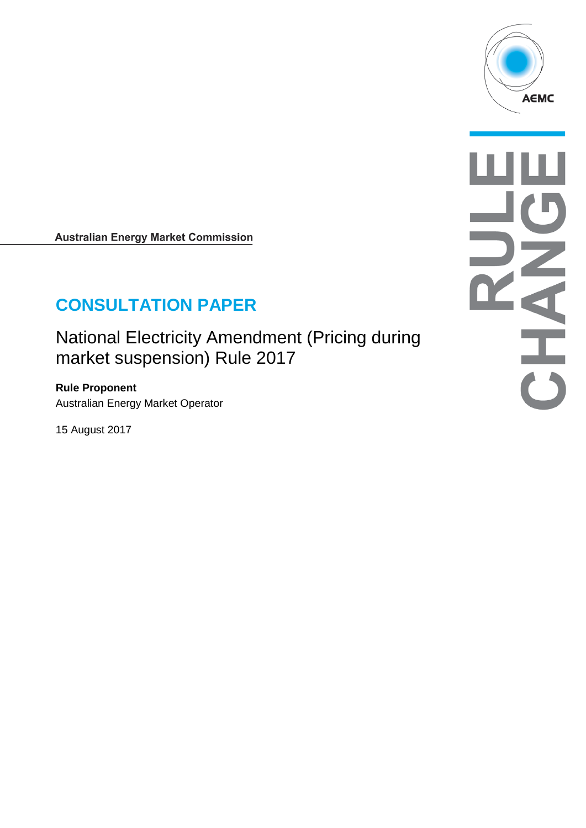

**Australian Energy Market Commission** 

# **CONSULTATION PAPER**

National Electricity Amendment (Pricing during market suspension) Rule 2017

**Rule Proponent** Australian Energy Market Operator

15 August 2017

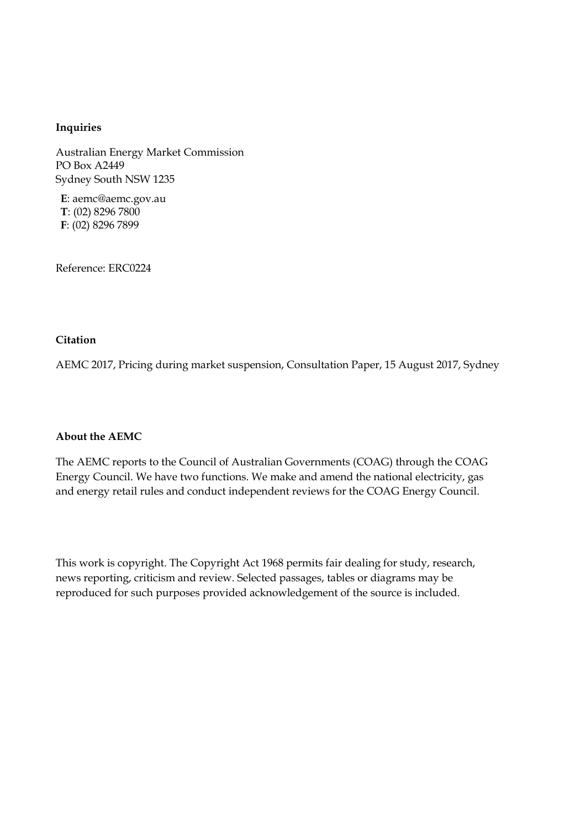#### **Inquiries**

Australian Energy Market Commission PO Box A2449 Sydney South NSW 1235

**E**: aemc@aemc.gov.au **T**: (02) 8296 7800 **F**: (02) 8296 7899

Reference: ERC0224

#### **Citation**

AEMC 2017, Pricing during market suspension, Consultation Paper, 15 August 2017, Sydney

#### **About the AEMC**

The AEMC reports to the Council of Australian Governments (COAG) through the COAG Energy Council. We have two functions. We make and amend the national electricity, gas and energy retail rules and conduct independent reviews for the COAG Energy Council.

This work is copyright. The Copyright Act 1968 permits fair dealing for study, research, news reporting, criticism and review. Selected passages, tables or diagrams may be reproduced for such purposes provided acknowledgement of the source is included.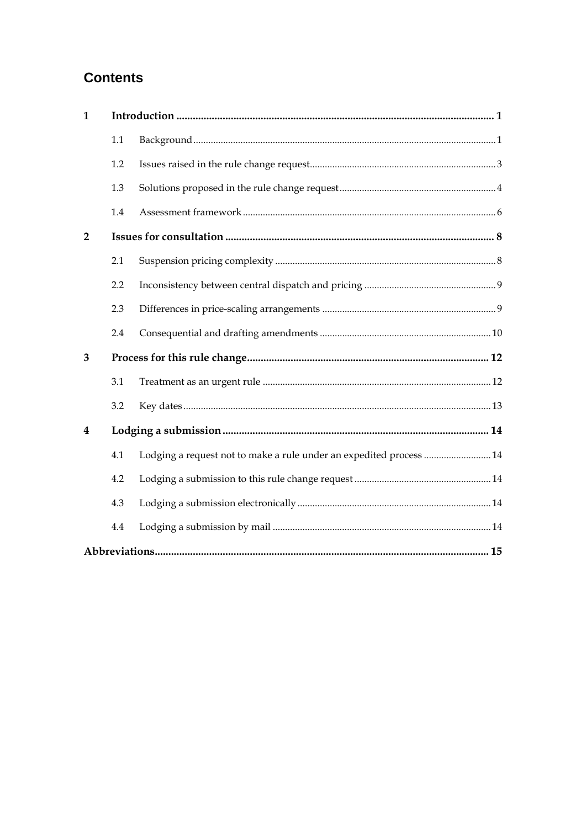## **Contents**

| $\mathbf{1}$            |     |                                                                     |  |
|-------------------------|-----|---------------------------------------------------------------------|--|
|                         | 1.1 |                                                                     |  |
|                         | 1.2 |                                                                     |  |
|                         | 1.3 |                                                                     |  |
|                         | 1.4 |                                                                     |  |
| $\overline{2}$          |     |                                                                     |  |
|                         | 2.1 |                                                                     |  |
|                         | 2.2 |                                                                     |  |
|                         | 2.3 |                                                                     |  |
|                         | 2.4 |                                                                     |  |
| 3                       |     |                                                                     |  |
|                         | 3.1 |                                                                     |  |
|                         | 3.2 |                                                                     |  |
| $\overline{\mathbf{4}}$ |     |                                                                     |  |
|                         | 4.1 | Lodging a request not to make a rule under an expedited process  14 |  |
|                         | 4.2 |                                                                     |  |
|                         | 4.3 |                                                                     |  |
|                         | 4.4 |                                                                     |  |
|                         |     |                                                                     |  |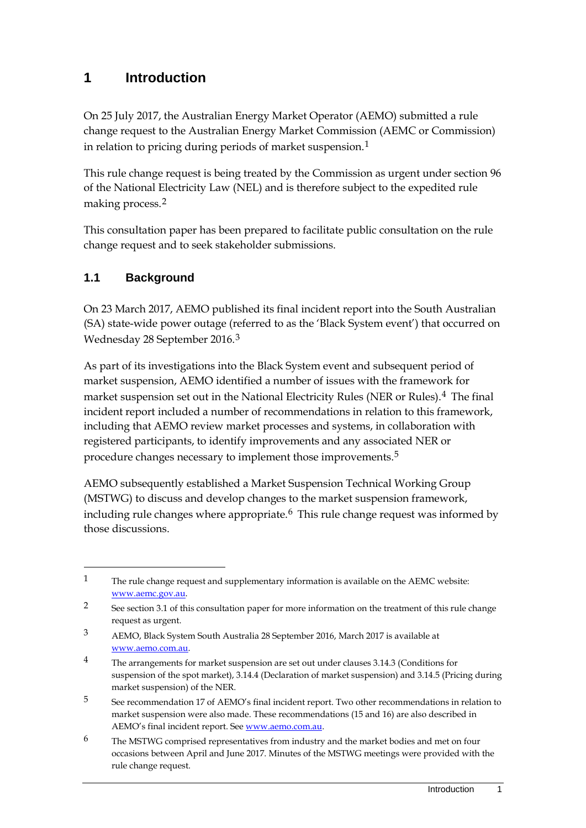## <span id="page-4-0"></span>**1 Introduction**

On 25 July 2017, the Australian Energy Market Operator (AEMO) submitted a rule change request to the Australian Energy Market Commission (AEMC or Commission) in relation to pricing during periods of market suspension.<sup>[1](#page-4-2)</sup>

This rule change request is being treated by the Commission as urgent under section 96 of the National Electricity Law (NEL) and is therefore subject to the expedited rule making process.[2](#page-4-3)

This consultation paper has been prepared to facilitate public consultation on the rule change request and to seek stakeholder submissions.

#### <span id="page-4-1"></span>**1.1 Background**

-

On 23 March 2017, AEMO published its final incident report into the South Australian (SA) state-wide power outage (referred to as the 'Black System event') that occurred on Wednesday 28 September 2016.[3](#page-4-4)

As part of its investigations into the Black System event and subsequent period of market suspension, AEMO identified a number of issues with the framework for market suspension set out in the National Electricity Rules (NER or Rules).[4](#page-4-5) The final incident report included a number of recommendations in relation to this framework, including that AEMO review market processes and systems, in collaboration with registered participants, to identify improvements and any associated NER or procedure changes necessary to implement those improvements.[5](#page-4-6)

AEMO subsequently established a Market Suspension Technical Working Group (MSTWG) to discuss and develop changes to the market suspension framework, including rule changes where appropriate.<sup>[6](#page-4-7)</sup> This rule change request was informed by those discussions.

<span id="page-4-2"></span><sup>1</sup> The rule change request and supplementary information is available on the AEMC website: [www.aemc.gov.au.](http://www.aemc.gov.au/) 

<span id="page-4-3"></span><sup>2</sup> See section 3.1 of this consultation paper for more information on the treatment of this rule change request as urgent.

<span id="page-4-4"></span><sup>3</sup> AEMO, Black System South Australia 28 September 2016, March 2017 is available at [www.aemo.com.au.](http://www.aemo.com.au/)

<span id="page-4-5"></span><sup>&</sup>lt;sup>4</sup> The arrangements for market suspension are set out under clauses 3.14.3 (Conditions for suspension of the spot market), 3.14.4 (Declaration of market suspension) and 3.14.5 (Pricing during market suspension) of the NER.

<span id="page-4-6"></span><sup>5</sup> See recommendation 17 of AEMO's final incident report. Two other recommendations in relation to market suspension were also made. These recommendations (15 and 16) are also described in AEMO's final incident report. See [www.aemo.com.au.](http://www.aemo.com.au/) 

<span id="page-4-7"></span><sup>6</sup> The MSTWG comprised representatives from industry and the market bodies and met on four occasions between April and June 2017. Minutes of the MSTWG meetings were provided with the rule change request.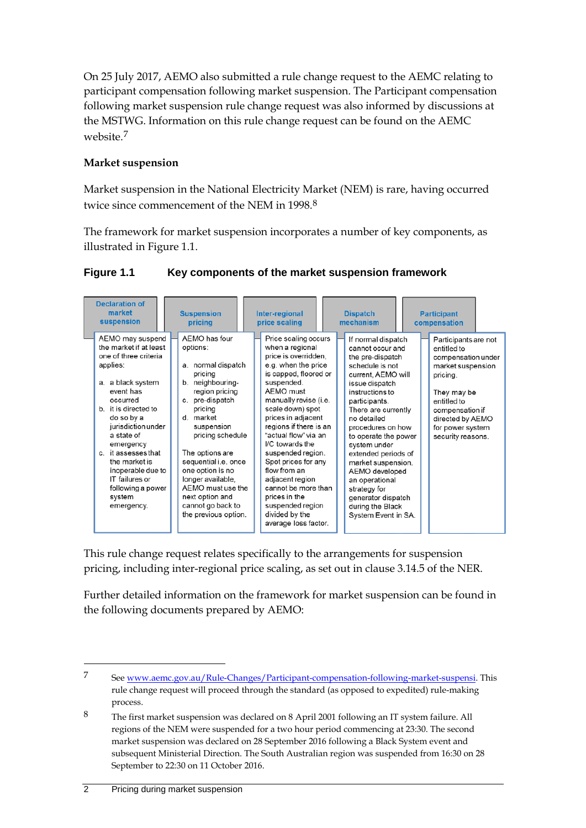On 25 July 2017, AEMO also submitted a rule change request to the AEMC relating to participant compensation following market suspension. The Participant compensation following market suspension rule change request was also informed by discussions at the MSTWG. Information on this rule change request can be found on the AEMC website<sup>[7](#page-5-0)</sup>

#### **Market suspension**

Market suspension in the National Electricity Market (NEM) is rare, having occurred twice since commencement of the NEM in 199[8](#page-5-1).<sup>8</sup>

The framework for market suspension incorporates a number of key components, as illustrated in Figure 1.1.

| <b>Declaration of</b><br>market<br>suspension                                                                                                                                                                                                                                                                                                    | <b>Suspension</b><br>pricing                                                                                                                                                                                                                                                                                                                           | Inter-regional<br>price scaling                                                                                                                                                                                                                                                                                                                                                                                                                                         | <b>Dispatch</b><br>mechanism                                                                                                                                                                                                                                                                                                                                                                                                   | <b>Participant</b><br>compensation                                                                                                                                                                       |
|--------------------------------------------------------------------------------------------------------------------------------------------------------------------------------------------------------------------------------------------------------------------------------------------------------------------------------------------------|--------------------------------------------------------------------------------------------------------------------------------------------------------------------------------------------------------------------------------------------------------------------------------------------------------------------------------------------------------|-------------------------------------------------------------------------------------------------------------------------------------------------------------------------------------------------------------------------------------------------------------------------------------------------------------------------------------------------------------------------------------------------------------------------------------------------------------------------|--------------------------------------------------------------------------------------------------------------------------------------------------------------------------------------------------------------------------------------------------------------------------------------------------------------------------------------------------------------------------------------------------------------------------------|----------------------------------------------------------------------------------------------------------------------------------------------------------------------------------------------------------|
| AEMO may suspend<br>the market if at least<br>one of three criteria<br>applies:<br>a. a black system<br>event has<br>occurred<br>b. it is directed to<br>do so by a<br>jurisdiction under<br>a state of<br>emergency<br>c. it assesses that<br>the market is<br>inoperable due to<br>IT failures or<br>following a power<br>system<br>emergency. | AEMO has four<br>options:<br>a. normal dispatch<br>pricing<br>b. neighbouring-<br>region pricing<br>c. pre-dispatch<br>pricing<br>d. market<br>suspension<br>pricing schedule<br>The options are<br>sequential i.e. once<br>one option is no<br>longer available,<br>AEMO must use the<br>next option and<br>cannot go back to<br>the previous option. | Price scaling occurs<br>when a regional<br>price is overridden,<br>e.g. when the price<br>is capped, floored or<br>suspended.<br>AEMO must<br>manually revise (i.e.<br>scale down) spot<br>prices in adjacent<br>regions if there is an<br>"actual flow" via an<br>I/C towards the<br>suspended region.<br>Spot prices for any<br>flow from an<br>adjacent region<br>cannot be more than<br>prices in the<br>suspended region<br>divided by the<br>average loss factor. | If normal dispatch<br>cannot occur and<br>the pre-dispatch<br>schedule is not<br>current, AEMO will<br>issue dispatch<br>instructions to<br>participants.<br>There are currently<br>no detailed<br>procedures on how<br>to operate the power<br>system under<br>extended periods of<br>market suspension.<br>AEMO developed<br>an operational<br>strategy for<br>generator dispatch<br>during the Black<br>System Event in SA. | Participants are not<br>entitled to<br>compensation under<br>market suspension<br>pricing.<br>They may be<br>entitled to<br>compensation if<br>directed by AEMO<br>for power system<br>security reasons. |

#### **Figure 1.1 Key components of the market suspension framework**

This rule change request relates specifically to the arrangements for suspension pricing, including inter-regional price scaling, as set out in clause 3.14.5 of the NER.

Further detailed information on the framework for market suspension can be found in the following documents prepared by AEMO:

<span id="page-5-0"></span><sup>7</sup> See [www.aemc.gov.au/Rule-Changes/Participant-compensation-following-market-suspensi.](http://www.aemc.gov.au/Rule-Changes/Participant-compensation-following-market-suspensi) This rule change request will proceed through the standard (as opposed to expedited) rule-making process.

<span id="page-5-1"></span><sup>8</sup> The first market suspension was declared on 8 April 2001 following an IT system failure. All regions of the NEM were suspended for a two hour period commencing at 23:30. The second market suspension was declared on 28 September 2016 following a Black System event and subsequent Ministerial Direction. The South Australian region was suspended from 16:30 on 28 September to 22:30 on 11 October 2016.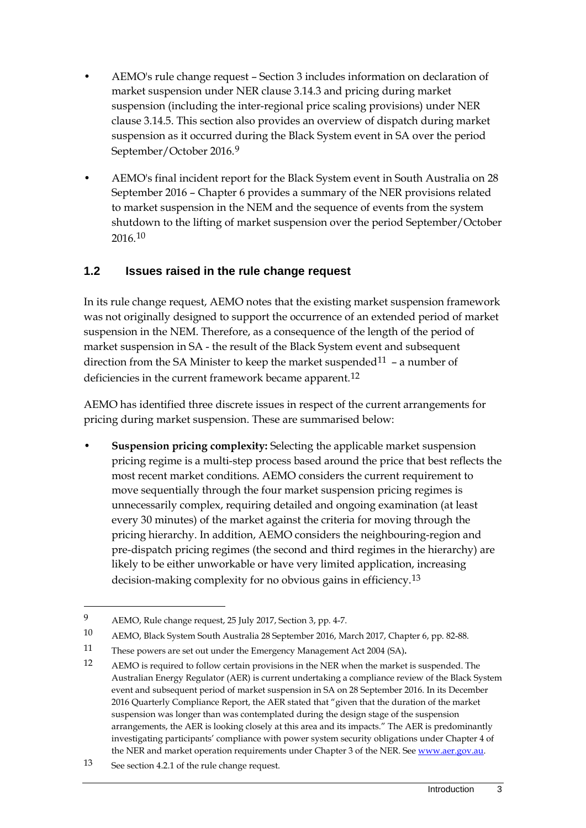- AEMO's rule change request Section 3 includes information on declaration of market suspension under NER clause 3.14.3 and pricing during market suspension (including the inter-regional price scaling provisions) under NER clause 3.14.5. This section also provides an overview of dispatch during market suspension as it occurred during the Black System event in SA over the period September/October 2016.[9](#page-6-1)
- AEMO's final incident report for the Black System event in South Australia on 28 September 2016 – Chapter 6 provides a summary of the NER provisions related to market suspension in the NEM and the sequence of events from the system shutdown to the lifting of market suspension over the period September/October 2016.[10](#page-6-2)

### <span id="page-6-0"></span>**1.2 Issues raised in the rule change request**

In its rule change request, AEMO notes that the existing market suspension framework was not originally designed to support the occurrence of an extended period of market suspension in the NEM. Therefore, as a consequence of the length of the period of market suspension in SA - the result of the Black System event and subsequent direction from the SA Minister to keep the market suspended<sup>[11](#page-6-3)</sup> - a number of deficiencies in the current framework became apparent.<sup>[12](#page-6-4)</sup>

AEMO has identified three discrete issues in respect of the current arrangements for pricing during market suspension. These are summarised below:

• **Suspension pricing complexity:** Selecting the applicable market suspension pricing regime is a multi-step process based around the price that best reflects the most recent market conditions. AEMO considers the current requirement to move sequentially through the four market suspension pricing regimes is unnecessarily complex, requiring detailed and ongoing examination (at least every 30 minutes) of the market against the criteria for moving through the pricing hierarchy. In addition, AEMO considers the neighbouring-region and pre-dispatch pricing regimes (the second and third regimes in the hierarchy) are likely to be either unworkable or have very limited application, increasing decision-making complexity for no obvious gains in efficiency.<sup>[13](#page-6-5)</sup>

<span id="page-6-1"></span><sup>9</sup> AEMO, Rule change request, 25 July 2017, Section 3, pp. 4-7.

<span id="page-6-2"></span><sup>10</sup> AEMO, Black System South Australia 28 September 2016, March 2017, Chapter 6, pp. 82-88.

<span id="page-6-3"></span><sup>11</sup> These powers are set out under the Emergency Management Act 2004 (SA)**.**

<span id="page-6-4"></span><sup>12</sup> AEMO is required to follow certain provisions in the NER when the market is suspended. The Australian Energy Regulator (AER) is current undertaking a compliance review of the Black System event and subsequent period of market suspension in SA on 28 September 2016. In its December 2016 Quarterly Compliance Report, the AER stated that "given that the duration of the market suspension was longer than was contemplated during the design stage of the suspension arrangements, the AER is looking closely at this area and its impacts." The AER is predominantly investigating participants' compliance with power system security obligations under Chapter 4 of the NER and market operation requirements under Chapter 3 of the NER. See www.aer.gov.au.

<span id="page-6-5"></span><sup>13</sup> See section 4.2.1 of the rule change request.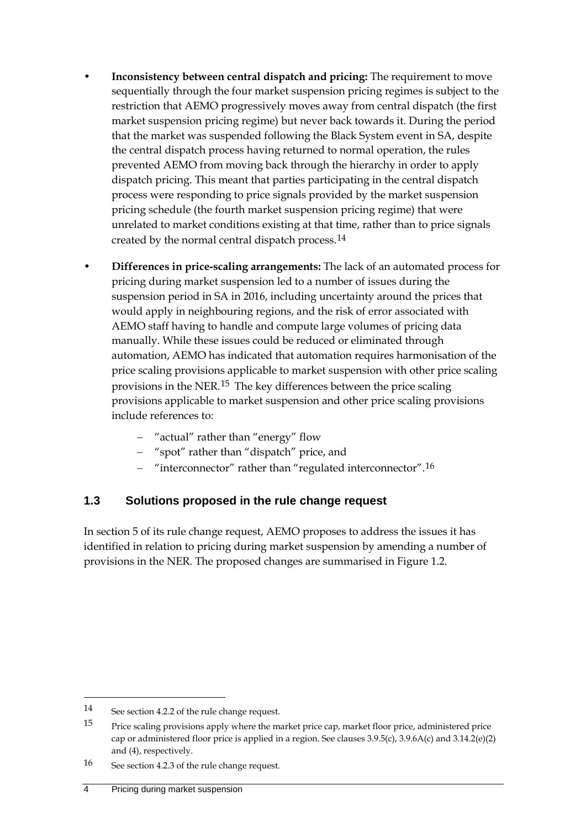- **Inconsistency between central dispatch and pricing:** The requirement to move sequentially through the four market suspension pricing regimes is subject to the restriction that AEMO progressively moves away from central dispatch (the first market suspension pricing regime) but never back towards it. During the period that the market was suspended following the Black System event in SA, despite the central dispatch process having returned to normal operation, the rules prevented AEMO from moving back through the hierarchy in order to apply dispatch pricing. This meant that parties participating in the central dispatch process were responding to price signals provided by the market suspension pricing schedule (the fourth market suspension pricing regime) that were unrelated to market conditions existing at that time, rather than to price signals created by the normal central dispatch process.[14](#page-7-1)
- **Differences in price-scaling arrangements:** The lack of an automated process for pricing during market suspension led to a number of issues during the suspension period in SA in 2016, including uncertainty around the prices that would apply in neighbouring regions, and the risk of error associated with AEMO staff having to handle and compute large volumes of pricing data manually. While these issues could be reduced or eliminated through automation, AEMO has indicated that automation requires harmonisation of the price scaling provisions applicable to market suspension with other price scaling provisions in the NER.[15](#page-7-2) The key differences between the price scaling provisions applicable to market suspension and other price scaling provisions include references to:
	- − "actual" rather than "energy" flow
	- − "spot" rather than "dispatch" price, and
	- − "interconnector" rather than "regulated interconnector".[16](#page-7-3)

### <span id="page-7-0"></span>**1.3 Solutions proposed in the rule change request**

In section 5 of its rule change request, AEMO proposes to address the issues it has identified in relation to pricing during market suspension by amending a number of provisions in the NER. The proposed changes are summarised in Figure 1.2.

<span id="page-7-1"></span><sup>14</sup> See section 4.2.2 of the rule change request.

<span id="page-7-2"></span><sup>15</sup> Price scaling provisions apply where the market price cap, market floor price, administered price cap or administered floor price is applied in a region. See clauses 3.9.5(c), 3.9.6A(c) and 3.14.2(e)(2) and (4), respectively.

<span id="page-7-3"></span><sup>16</sup> See section 4.2.3 of the rule change request.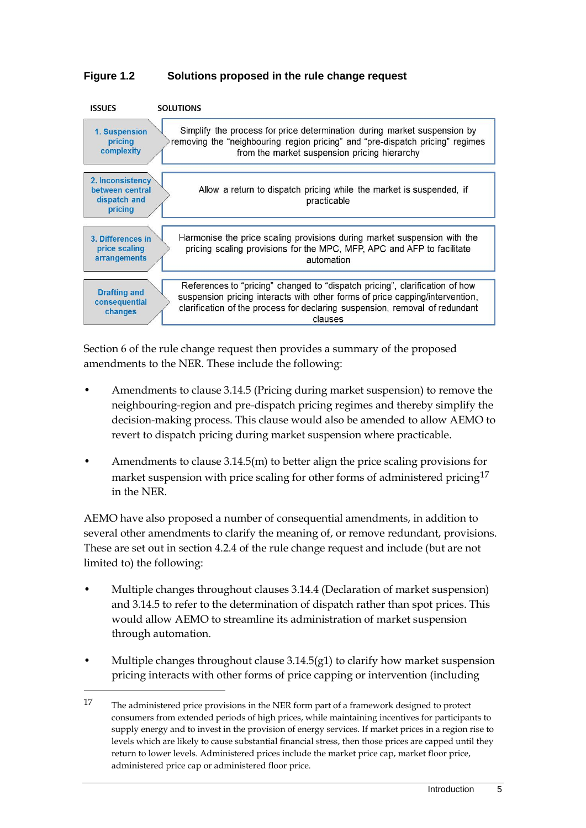#### **Figure 1.2 Solutions proposed in the rule change request**



Section 6 of the rule change request then provides a summary of the proposed amendments to the NER. These include the following:

- Amendments to clause 3.14.5 (Pricing during market suspension) to remove the neighbouring-region and pre-dispatch pricing regimes and thereby simplify the decision-making process. This clause would also be amended to allow AEMO to revert to dispatch pricing during market suspension where practicable.
- Amendments to clause 3.14.5(m) to better align the price scaling provisions for market suspension with price scaling for other forms of administered pricing<sup>[17](#page-8-0)</sup> in the NER.

AEMO have also proposed a number of consequential amendments, in addition to several other amendments to clarify the meaning of, or remove redundant, provisions. These are set out in section 4.2.4 of the rule change request and include (but are not limited to) the following:

- Multiple changes throughout clauses 3.14.4 (Declaration of market suspension) and 3.14.5 to refer to the determination of dispatch rather than spot prices. This would allow AEMO to streamline its administration of market suspension through automation.
- Multiple changes throughout clause 3.14.5(g1) to clarify how market suspension pricing interacts with other forms of price capping or intervention (including

<u>.</u>

<span id="page-8-0"></span><sup>17</sup> The administered price provisions in the NER form part of a framework designed to protect consumers from extended periods of high prices, while maintaining incentives for participants to supply energy and to invest in the provision of energy services. If market prices in a region rise to levels which are likely to cause substantial financial stress, then those prices are capped until they return to lower levels. Administered prices include the market price cap, market floor price, administered price cap or administered floor price.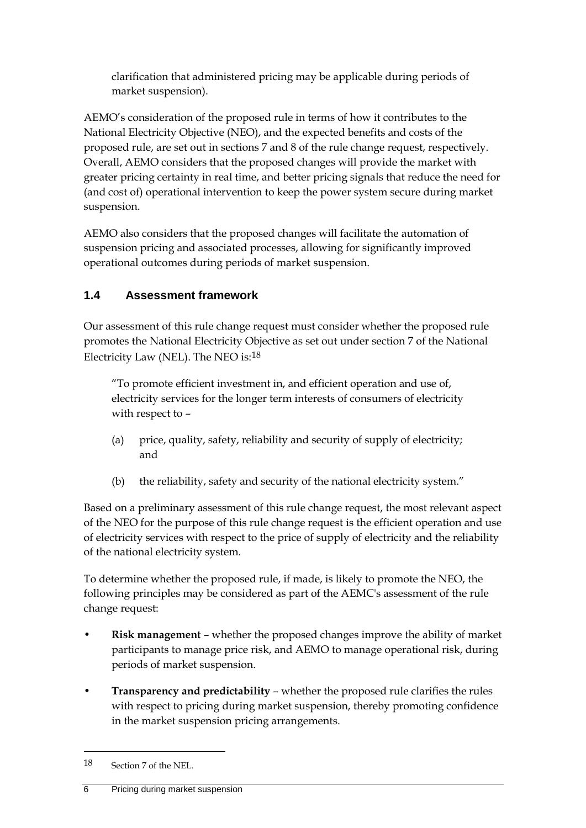clarification that administered pricing may be applicable during periods of market suspension).

AEMO's consideration of the proposed rule in terms of how it contributes to the National Electricity Objective (NEO), and the expected benefits and costs of the proposed rule, are set out in sections 7 and 8 of the rule change request, respectively. Overall, AEMO considers that the proposed changes will provide the market with greater pricing certainty in real time, and better pricing signals that reduce the need for (and cost of) operational intervention to keep the power system secure during market suspension.

AEMO also considers that the proposed changes will facilitate the automation of suspension pricing and associated processes, allowing for significantly improved operational outcomes during periods of market suspension.

### <span id="page-9-0"></span>**1.4 Assessment framework**

Our assessment of this rule change request must consider whether the proposed rule promotes the National Electricity Objective as set out under section 7 of the National Electricity Law (NEL). The NEO is: $^{18}$  $^{18}$  $^{18}$ 

"To promote efficient investment in, and efficient operation and use of, electricity services for the longer term interests of consumers of electricity with respect to –

- (a) price, quality, safety, reliability and security of supply of electricity; and
- (b) the reliability, safety and security of the national electricity system."

Based on a preliminary assessment of this rule change request, the most relevant aspect of the NEO for the purpose of this rule change request is the efficient operation and use of electricity services with respect to the price of supply of electricity and the reliability of the national electricity system.

To determine whether the proposed rule, if made, is likely to promote the NEO, the following principles may be considered as part of the AEMC's assessment of the rule change request:

- **Risk management** whether the proposed changes improve the ability of market participants to manage price risk, and AEMO to manage operational risk, during periods of market suspension.
- **Transparency and predictability** whether the proposed rule clarifies the rules with respect to pricing during market suspension, thereby promoting confidence in the market suspension pricing arrangements.

<span id="page-9-1"></span><sup>18</sup> Section 7 of the NEL.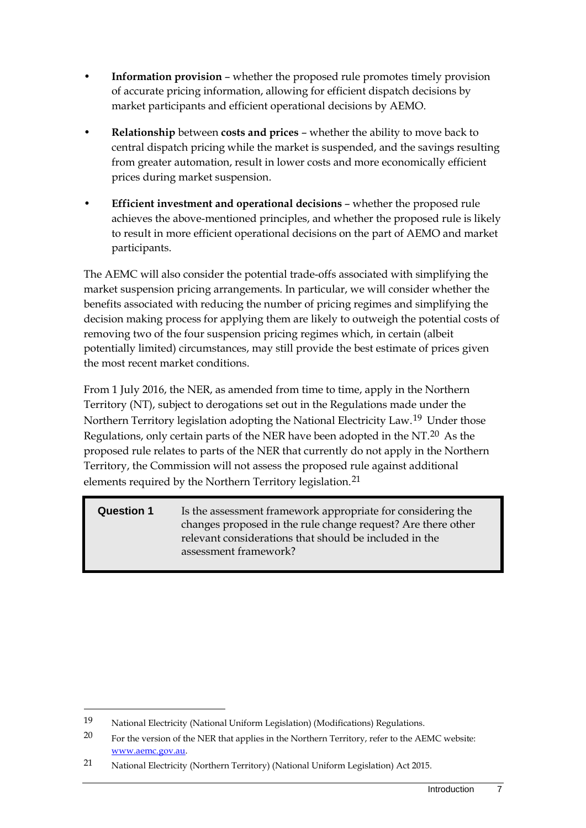- **Information provision** whether the proposed rule promotes timely provision of accurate pricing information, allowing for efficient dispatch decisions by market participants and efficient operational decisions by AEMO.
- **Relationship** between **costs and prices** whether the ability to move back to central dispatch pricing while the market is suspended, and the savings resulting from greater automation, result in lower costs and more economically efficient prices during market suspension.
- **Efficient investment and operational decisions** whether the proposed rule achieves the above-mentioned principles, and whether the proposed rule is likely to result in more efficient operational decisions on the part of AEMO and market participants.

The AEMC will also consider the potential trade-offs associated with simplifying the market suspension pricing arrangements. In particular, we will consider whether the benefits associated with reducing the number of pricing regimes and simplifying the decision making process for applying them are likely to outweigh the potential costs of removing two of the four suspension pricing regimes which, in certain (albeit potentially limited) circumstances, may still provide the best estimate of prices given the most recent market conditions.

From 1 July 2016, the NER, as amended from time to time, apply in the Northern Territory (NT), subject to derogations set out in the Regulations made under the Northern Territory legislation adopting the National Electricity Law.[19](#page-10-0) Under those Regulations, only certain parts of the NER have been adopted in the NT.[20](#page-10-1) As the proposed rule relates to parts of the NER that currently do not apply in the Northern Territory, the Commission will not assess the proposed rule against additional elements required by the Northern Territory legislation.<sup>[21](#page-10-2)</sup>

#### **Question 1** Is the assessment framework appropriate for considering the changes proposed in the rule change request? Are there other relevant considerations that should be included in the assessment framework?

<span id="page-10-0"></span><sup>19</sup> National Electricity (National Uniform Legislation) (Modifications) Regulations.

<span id="page-10-1"></span><sup>&</sup>lt;sup>20</sup> For the version of the NER that applies in the Northern Territory, refer to the AEMC website: [www.aemc.gov.au.](http://www.aemc.gov.au/) 

<span id="page-10-2"></span><sup>21</sup> National Electricity (Northern Territory) (National Uniform Legislation) Act 2015.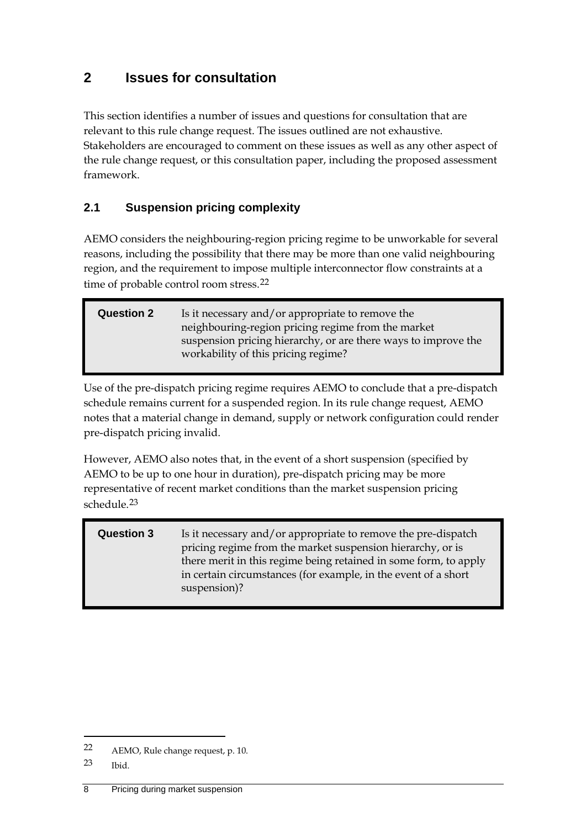## <span id="page-11-0"></span>**2 Issues for consultation**

This section identifies a number of issues and questions for consultation that are relevant to this rule change request. The issues outlined are not exhaustive. Stakeholders are encouraged to comment on these issues as well as any other aspect of the rule change request, or this consultation paper, including the proposed assessment framework.

### <span id="page-11-1"></span>**2.1 Suspension pricing complexity**

AEMO considers the neighbouring-region pricing regime to be unworkable for several reasons, including the possibility that there may be more than one valid neighbouring region, and the requirement to impose multiple interconnector flow constraints at a time of probable control room stress.<sup>[22](#page-11-2)</sup>

| <b>Question 2</b> | Is it necessary and/or appropriate to remove the               |  |
|-------------------|----------------------------------------------------------------|--|
|                   | neighbouring-region pricing regime from the market             |  |
|                   | suspension pricing hierarchy, or are there ways to improve the |  |
|                   | workability of this pricing regime?                            |  |
|                   |                                                                |  |

Use of the pre-dispatch pricing regime requires AEMO to conclude that a pre-dispatch schedule remains current for a suspended region. In its rule change request, AEMO notes that a material change in demand, supply or network configuration could render pre-dispatch pricing invalid.

However, AEMO also notes that, in the event of a short suspension (specified by AEMO to be up to one hour in duration), pre-dispatch pricing may be more representative of recent market conditions than the market suspension pricing schedule.[23](#page-11-3)

| <b>Question 3</b> | Is it necessary and/or appropriate to remove the pre-dispatch<br>pricing regime from the market suspension hierarchy, or is<br>there merit in this regime being retained in some form, to apply<br>in certain circumstances (for example, in the event of a short |
|-------------------|-------------------------------------------------------------------------------------------------------------------------------------------------------------------------------------------------------------------------------------------------------------------|
|                   | suspension)?                                                                                                                                                                                                                                                      |

<span id="page-11-2"></span><sup>22</sup> AEMO, Rule change request, p. 10.

<span id="page-11-3"></span><sup>23</sup> Ibid.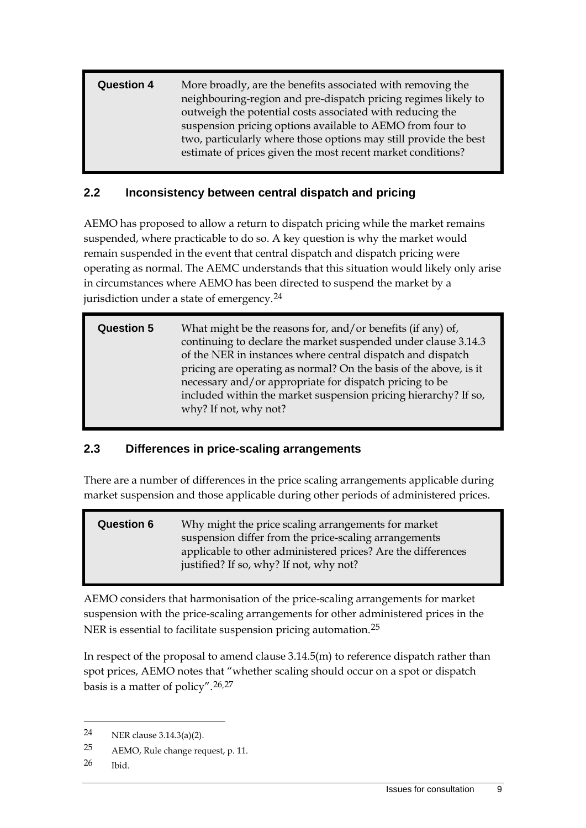**Question 4** More broadly, are the benefits associated with removing the neighbouring-region and pre-dispatch pricing regimes likely to outweigh the potential costs associated with reducing the suspension pricing options available to AEMO from four to two, particularly where those options may still provide the best estimate of prices given the most recent market conditions?

#### <span id="page-12-0"></span>**2.2 Inconsistency between central dispatch and pricing**

AEMO has proposed to allow a return to dispatch pricing while the market remains suspended, where practicable to do so. A key question is why the market would remain suspended in the event that central dispatch and dispatch pricing were operating as normal. The AEMC understands that this situation would likely only arise in circumstances where AEMO has been directed to suspend the market by a jurisdiction under a state of emergency.<sup>[24](#page-12-2)</sup>

| <b>Question 5</b> | What might be the reasons for, and/or benefits (if any) of,<br>continuing to declare the market suspended under clause 3.14.3<br>of the NER in instances where central dispatch and dispatch<br>pricing are operating as normal? On the basis of the above, is it<br>necessary and/or appropriate for dispatch pricing to be<br>included within the market suspension pricing hierarchy? If so, |
|-------------------|-------------------------------------------------------------------------------------------------------------------------------------------------------------------------------------------------------------------------------------------------------------------------------------------------------------------------------------------------------------------------------------------------|
|                   | why? If not, why not?                                                                                                                                                                                                                                                                                                                                                                           |
|                   |                                                                                                                                                                                                                                                                                                                                                                                                 |

#### <span id="page-12-1"></span>**2.3 Differences in price-scaling arrangements**

There are a number of differences in the price scaling arrangements applicable during market suspension and those applicable during other periods of administered prices.

**Question 6** Why might the price scaling arrangements for market suspension differ from the price-scaling arrangements applicable to other administered prices? Are the differences justified? If so, why? If not, why not?

<span id="page-12-5"></span>AEMO considers that harmonisation of the price-scaling arrangements for market suspension with the price-scaling arrangements for other administered prices in the NER is essential to facilitate suspension pricing automation.<sup>[25](#page-12-3)</sup>

In respect of the proposal to amend clause 3.14.5(m) to reference dispatch rather than spot prices, AEMO notes that "whether scaling should occur on a spot or dispatch basis is a matter of policy".[26,](#page-12-4)[27](#page-12-5)

<span id="page-12-2"></span><sup>24</sup> NER clause 3.14.3(a)(2).

<span id="page-12-3"></span><sup>25</sup> AEMO, Rule change request, p. 11.

<span id="page-12-4"></span><sup>26</sup> Ibid.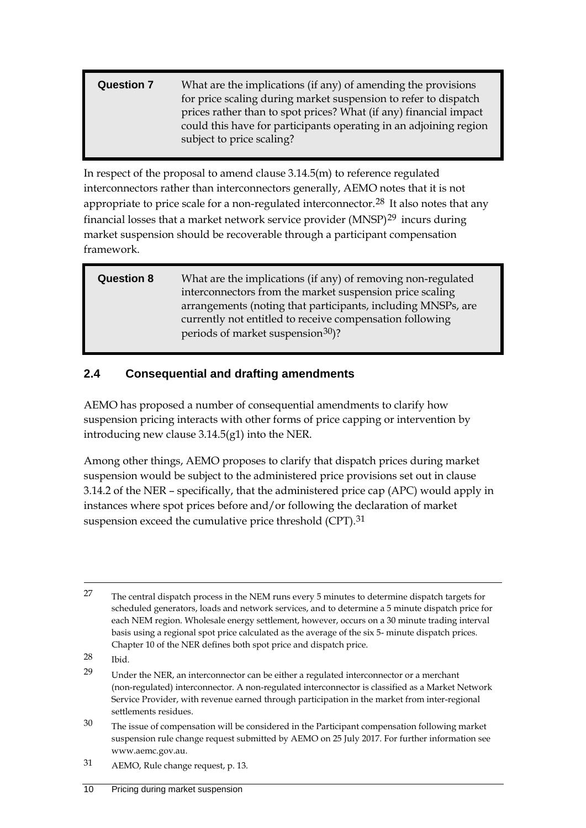#### **Question 7** What are the implications (if any) of amending the provisions for price scaling during market suspension to refer to dispatch prices rather than to spot prices? What (if any) financial impact could this have for participants operating in an adjoining region subject to price scaling?

In respect of the proposal to amend clause 3.14.5(m) to reference regulated interconnectors rather than interconnectors generally, AEMO notes that it is not appropriate to price scale for a non-regulated interconnector.<sup>[28](#page-13-1)</sup> It also notes that any financial losses that a market network service provider (MNSP)[29](#page-13-2) incurs during market suspension should be recoverable through a participant compensation framework.

**Question 8** What are the implications (if any) of removing non-regulated interconnectors from the market suspension price scaling arrangements (noting that participants, including MNSPs, are currently not entitled to receive compensation following periods of market suspension<sup>30</sup>)?

### <span id="page-13-0"></span>**2.4 Consequential and drafting amendments**

AEMO has proposed a number of consequential amendments to clarify how suspension pricing interacts with other forms of price capping or intervention by introducing new clause 3.14.5(g1) into the NER.

Among other things, AEMO proposes to clarify that dispatch prices during market suspension would be subject to the administered price provisions set out in clause 3.14.2 of the NER – specifically, that the administered price cap (APC) would apply in instances where spot prices before and/or following the declaration of market suspension exceed the cumulative price threshold (CPT).<sup>[31](#page-13-4)</sup>

<sup>&</sup>lt;sup>27</sup> The central dispatch process in the NEM runs every 5 minutes to determine dispatch targets for scheduled generators, loads and network services, and to determine a 5 minute dispatch price for each NEM region. Wholesale energy settlement, however, occurs on a 30 minute trading interval basis using a regional spot price calculated as the average of the six 5- minute dispatch prices. Chapter 10 of the NER defines both spot price and dispatch price.

<span id="page-13-1"></span><sup>28</sup> Ibid.

<span id="page-13-2"></span><sup>29</sup> Under the NER, an interconnector can be either a regulated interconnector or a merchant (non-regulated) interconnector. A non-regulated interconnector is classified as a Market Network Service Provider, with revenue earned through participation in the market from inter-regional settlements residues.

<span id="page-13-3"></span><sup>&</sup>lt;sup>30</sup> The issue of compensation will be considered in the Participant compensation following market suspension rule change request submitted by AEMO on 25 July 2017. For further information see www.aemc.gov.au.

<span id="page-13-4"></span><sup>31</sup> AEMO, Rule change request, p. 13.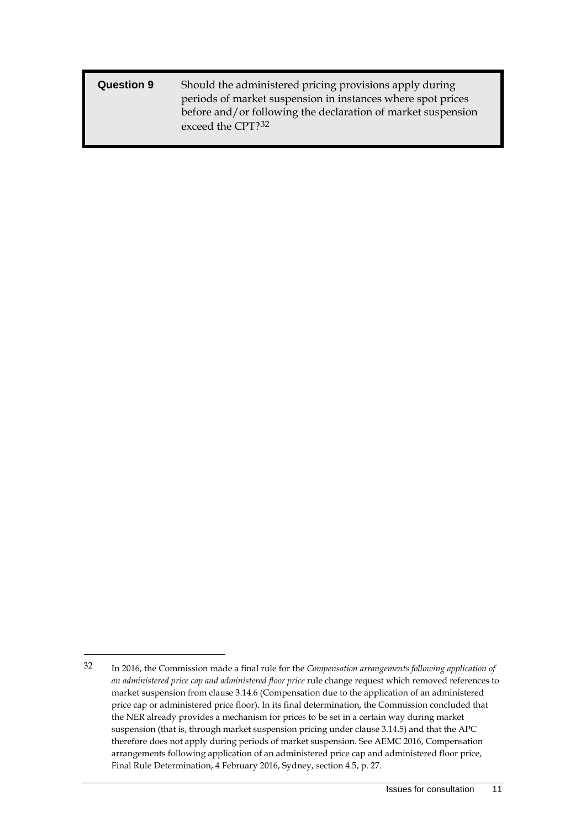| <b>Question 9</b> | Should the administered pricing provisions apply during      |
|-------------------|--------------------------------------------------------------|
|                   | periods of market suspension in instances where spot prices  |
|                   | before and/or following the declaration of market suspension |
|                   | exceed the CPT? <sup>32</sup>                                |

<span id="page-14-0"></span><sup>32</sup> In 2016, the Commission made a final rule for the *Compensation arrangements following application of an administered price cap and administered floor price* rule change request which removed references to market suspension from clause 3.14.6 (Compensation due to the application of an administered price cap or administered price floor). In its final determination, the Commission concluded that the NER already provides a mechanism for prices to be set in a certain way during market suspension (that is, through market suspension pricing under clause 3.14.5) and that the APC therefore does not apply during periods of market suspension. See AEMC 2016, Compensation arrangements following application of an administered price cap and administered floor price, Final Rule Determination, 4 February 2016, Sydney, section 4.5, p. 27.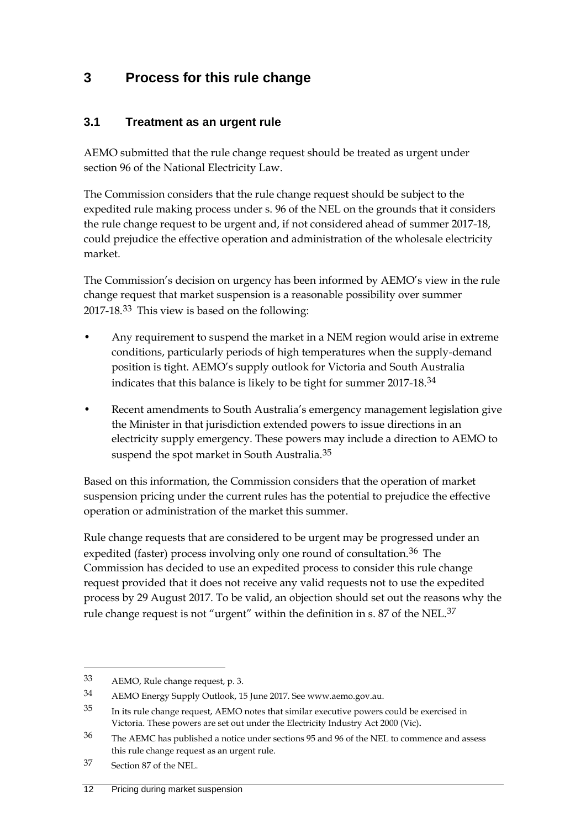## <span id="page-15-0"></span>**3 Process for this rule change**

#### <span id="page-15-1"></span>**3.1 Treatment as an urgent rule**

AEMO submitted that the rule change request should be treated as urgent under section 96 of the National Electricity Law.

The Commission considers that the rule change request should be subject to the expedited rule making process under s. 96 of the NEL on the grounds that it considers the rule change request to be urgent and, if not considered ahead of summer 2017-18, could prejudice the effective operation and administration of the wholesale electricity market.

The Commission's decision on urgency has been informed by AEMO's view in the rule change request that market suspension is a reasonable possibility over summer 2017-18.[33](#page-15-2) This view is based on the following:

- Any requirement to suspend the market in a NEM region would arise in extreme conditions, particularly periods of high temperatures when the supply-demand position is tight. AEMO's supply outlook for Victoria and South Australia indicates that this balance is likely to be tight for summer 2017-18.[34](#page-15-3)
- Recent amendments to South Australia's emergency management legislation give the Minister in that jurisdiction extended powers to issue directions in an electricity supply emergency. These powers may include a direction to AEMO to suspend the spot market in South Australia.<sup>[35](#page-15-4)</sup>

Based on this information, the Commission considers that the operation of market suspension pricing under the current rules has the potential to prejudice the effective operation or administration of the market this summer.

Rule change requests that are considered to be urgent may be progressed under an expedited (faster) process involving only one round of consultation.<sup>[36](#page-15-5)</sup> The Commission has decided to use an expedited process to consider this rule change request provided that it does not receive any valid requests not to use the expedited process by 29 August 2017. To be valid, an objection should set out the reasons why the rule change request is not "urgent" within the definition in s. 87 of the NEL.<sup>[37](#page-15-6)</sup>

<span id="page-15-2"></span><sup>33</sup> AEMO, Rule change request, p. 3.

<span id="page-15-3"></span><sup>34</sup> AEMO Energy Supply Outlook, 15 June 2017. See www.aemo.gov.au.

<span id="page-15-4"></span><sup>35</sup> In its rule change request, AEMO notes that similar executive powers could be exercised in Victoria. These powers are set out under the Electricity Industry Act 2000 (Vic)**.**

<span id="page-15-5"></span><sup>36</sup> The AEMC has published a notice under sections 95 and 96 of the NEL to commence and assess this rule change request as an urgent rule.

<span id="page-15-6"></span><sup>37</sup> Section 87 of the NEL.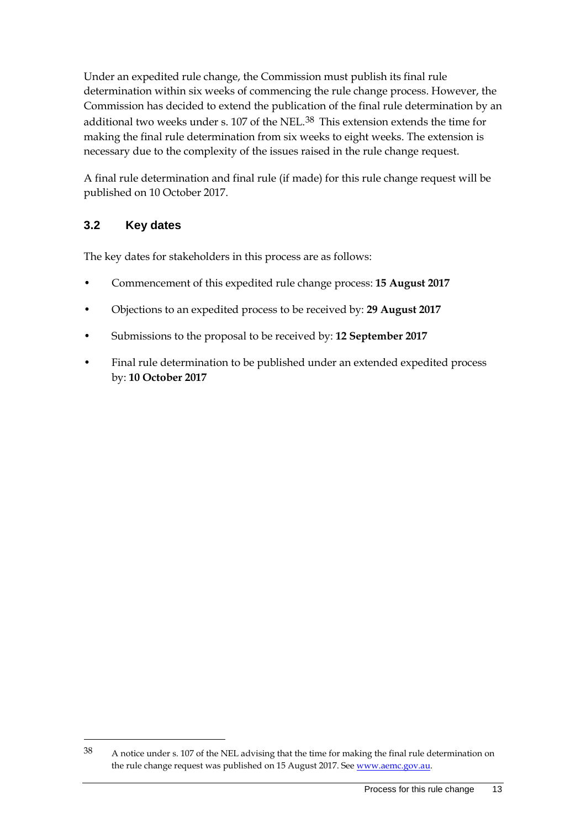Under an expedited rule change, the Commission must publish its final rule determination within six weeks of commencing the rule change process. However, the Commission has decided to extend the publication of the final rule determination by an additional two weeks under s. 107 of the NEL.[38](#page-16-1) This extension extends the time for making the final rule determination from six weeks to eight weeks. The extension is necessary due to the complexity of the issues raised in the rule change request.

A final rule determination and final rule (if made) for this rule change request will be published on 10 October 2017.

### <span id="page-16-0"></span>**3.2 Key dates**

-

The key dates for stakeholders in this process are as follows:

- Commencement of this expedited rule change process: **15 August 2017**
- Objections to an expedited process to be received by: **29 August 2017**
- Submissions to the proposal to be received by: **12 September 2017**
- Final rule determination to be published under an extended expedited process by: **10 October 2017**

<span id="page-16-1"></span><sup>38</sup> A notice under s. 107 of the NEL advising that the time for making the final rule determination on the rule change request was published on 15 August 2017. See www.aemc.gov.au.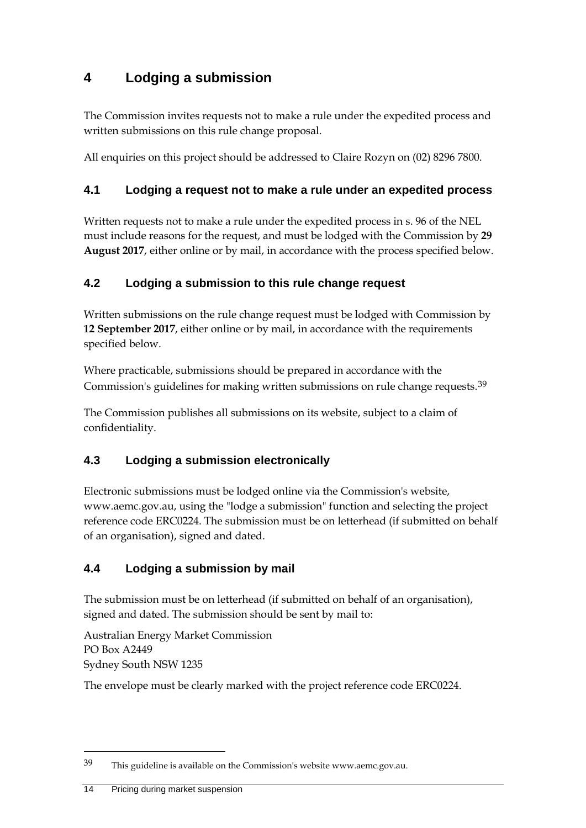## <span id="page-17-0"></span>**4 Lodging a submission**

The Commission invites requests not to make a rule under the expedited process and written submissions on this rule change proposal.

All enquiries on this project should be addressed to Claire Rozyn on (02) 8296 7800.

### <span id="page-17-1"></span>**4.1 Lodging a request not to make a rule under an expedited process**

Written requests not to make a rule under the expedited process in s. 96 of the NEL must include reasons for the request, and must be lodged with the Commission by **29 August 2017**, either online or by mail, in accordance with the process specified below.

### <span id="page-17-2"></span>**4.2 Lodging a submission to this rule change request**

Written submissions on the rule change request must be lodged with Commission by **12 September 2017**, either online or by mail, in accordance with the requirements specified below.

Where practicable, submissions should be prepared in accordance with the Commission's guidelines for making written submissions on rule change requests.[39](#page-17-5)

The Commission publishes all submissions on its website, subject to a claim of confidentiality.

### <span id="page-17-3"></span>**4.3 Lodging a submission electronically**

Electronic submissions must be lodged online via the Commission's website, www.aemc.gov.au, using the "lodge a submission" function and selecting the project reference code ERC0224. The submission must be on letterhead (if submitted on behalf of an organisation), signed and dated.

### <span id="page-17-4"></span>**4.4 Lodging a submission by mail**

The submission must be on letterhead (if submitted on behalf of an organisation), signed and dated. The submission should be sent by mail to:

Australian Energy Market Commission PO Box A2449 Sydney South NSW 1235

The envelope must be clearly marked with the project reference code ERC0224.

<span id="page-17-5"></span><sup>39</sup> This guideline is available on the Commission's website www.aemc.gov.au.